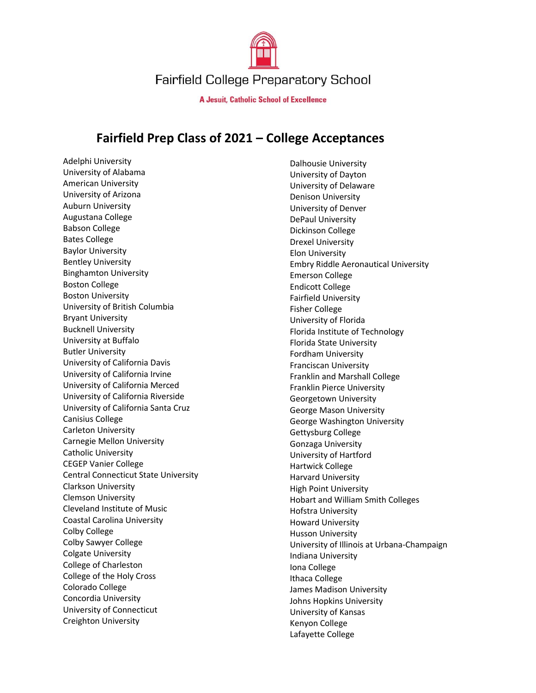

**A Jesuit, Catholic School of Excellence** 

## **Fairfield Prep Class of 2021 – College Acceptances**

Adelphi University University of Alabama American University University of Arizona Auburn University Augustana College Babson College Bates College Baylor University Bentley University Binghamton University Boston College Boston University University of British Columbia Bryant University Bucknell University University at Buffalo Butler University University of California Davis University of California Irvine University of California Merced University of California Riverside University of California Santa Cruz Canisius College Carleton University Carnegie Mellon University Catholic University CEGEP Vanier College Central Connecticut State University Clarkson University Clemson University Cleveland Institute of Music Coastal Carolina University Colby College Colby Sawyer College Colgate University College of Charleston College of the Holy Cross Colorado College Concordia University University of Connecticut Creighton University

Dalhousie University University of Dayton University of Delaware Denison University University of Denver DePaul University Dickinson College Drexel University Elon University Embry Riddle Aeronautical University Emerson College Endicott College Fairfield University Fisher College University of Florida Florida Institute of Technology Florida State University Fordham University Franciscan University Franklin and Marshall College Franklin Pierce University Georgetown University George Mason University George Washington University Gettysburg College Gonzaga University University of Hartford Hartwick College Harvard University High Point University Hobart and William Smith Colleges Hofstra University Howard University Husson University University of Illinois at Urbana-Champaign Indiana University Iona College Ithaca College James Madison University Johns Hopkins University University of Kansas Kenyon College Lafayette College